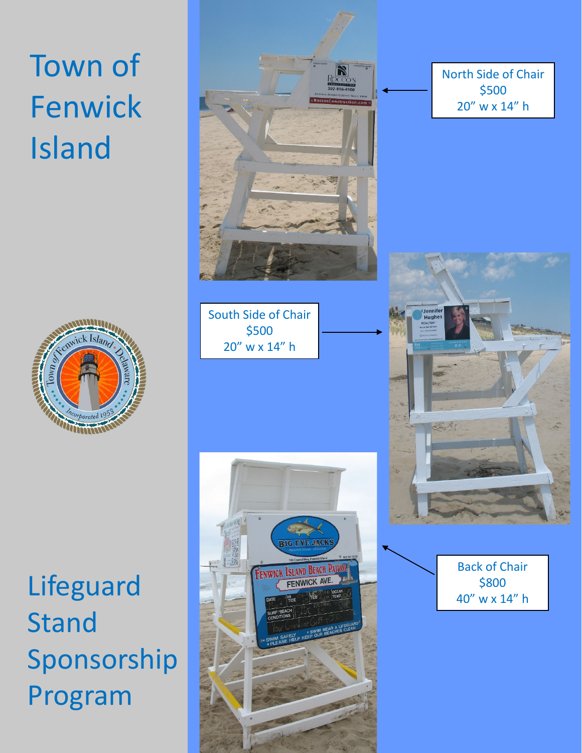## Town of Fenwick Island



Lifeguard Stand Sponsorship Program



North Side of Chair \$500 20" w x 14" h



Back of Chair \$800 40" w x 14" h